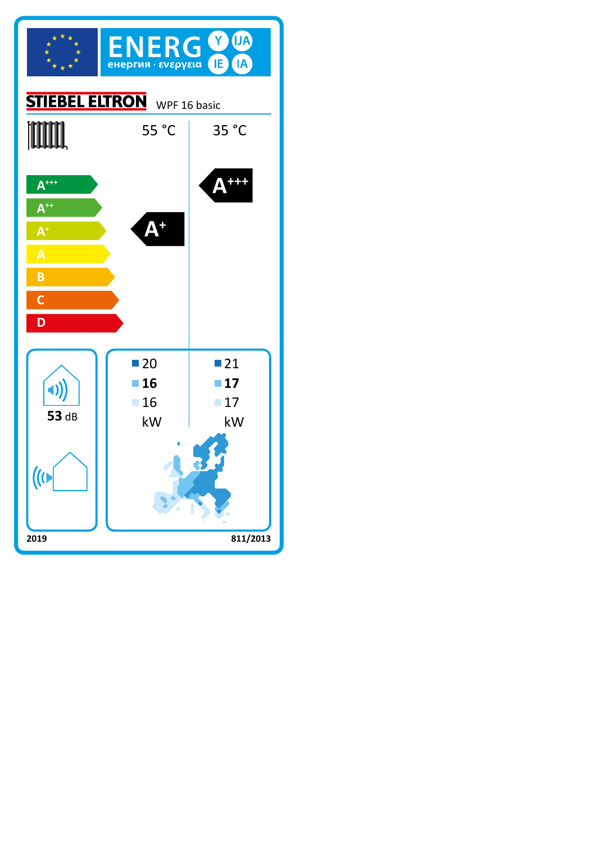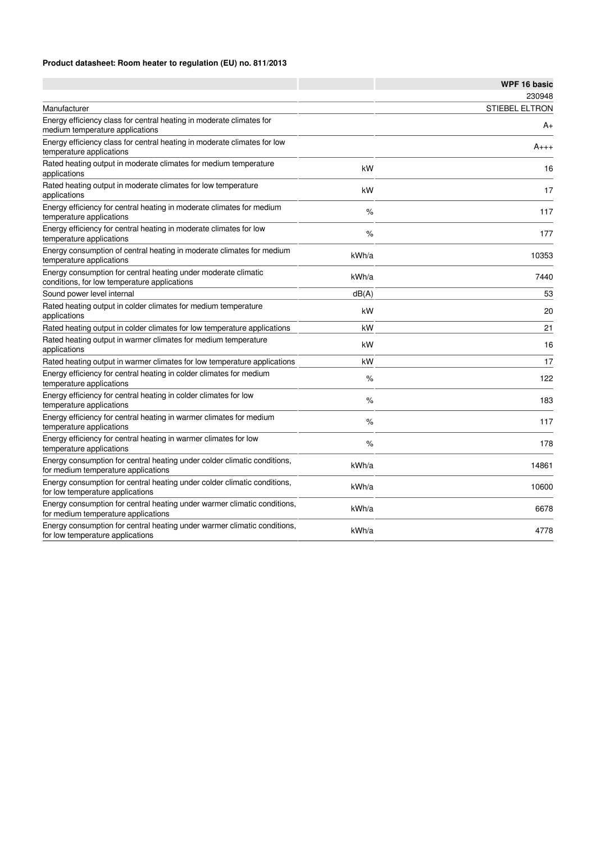## **Product datasheet: Room heater to regulation (EU) no. 811/2013**

|                                                                                                                 |       | <b>WPF 16 basic</b>   |
|-----------------------------------------------------------------------------------------------------------------|-------|-----------------------|
|                                                                                                                 |       | 230948                |
| Manufacturer                                                                                                    |       | <b>STIEBEL ELTRON</b> |
| Energy efficiency class for central heating in moderate climates for<br>medium temperature applications         |       | A+                    |
| Energy efficiency class for central heating in moderate climates for low<br>temperature applications            |       | $A_{+++}$             |
| Rated heating output in moderate climates for medium temperature<br>applications                                | kW    | 16                    |
| Rated heating output in moderate climates for low temperature<br>applications                                   | kW    | 17                    |
| Energy efficiency for central heating in moderate climates for medium<br>temperature applications               | %     | 117                   |
| Energy efficiency for central heating in moderate climates for low<br>temperature applications                  | %     | 177                   |
| Energy consumption of central heating in moderate climates for medium<br>temperature applications               | kWh/a | 10353                 |
| Energy consumption for central heating under moderate climatic<br>conditions, for low temperature applications  | kWh/a | 7440                  |
| Sound power level internal                                                                                      | dB(A) | 53                    |
| Rated heating output in colder climates for medium temperature<br>applications                                  | kW    | 20                    |
| Rated heating output in colder climates for low temperature applications                                        | kW    | 21                    |
| Rated heating output in warmer climates for medium temperature<br>applications                                  | kW    | 16                    |
| Rated heating output in warmer climates for low temperature applications                                        | kW    | 17                    |
| Energy efficiency for central heating in colder climates for medium<br>temperature applications                 | $\%$  | 122                   |
| Energy efficiency for central heating in colder climates for low<br>temperature applications                    | $\%$  | 183                   |
| Energy efficiency for central heating in warmer climates for medium<br>temperature applications                 | $\%$  | 117                   |
| Energy efficiency for central heating in warmer climates for low<br>temperature applications                    | %     | 178                   |
| Energy consumption for central heating under colder climatic conditions,<br>for medium temperature applications | kWh/a | 14861                 |
| Energy consumption for central heating under colder climatic conditions,<br>for low temperature applications    | kWh/a | 10600                 |
| Energy consumption for central heating under warmer climatic conditions,<br>for medium temperature applications | kWh/a | 6678                  |
| Energy consumption for central heating under warmer climatic conditions,<br>for low temperature applications    | kWh/a | 4778                  |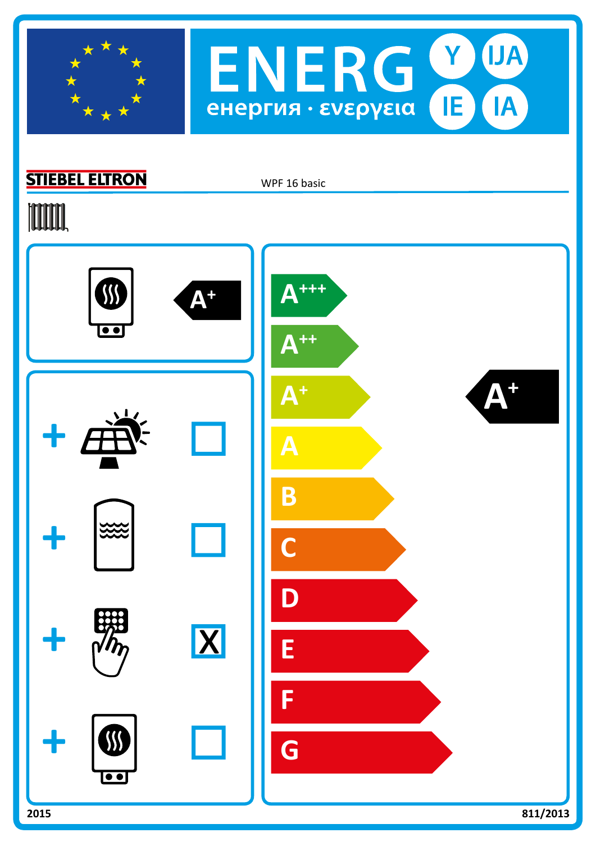



## **STIEBEL ELTRON**

WPF 16 basic

# **TOOTAL**

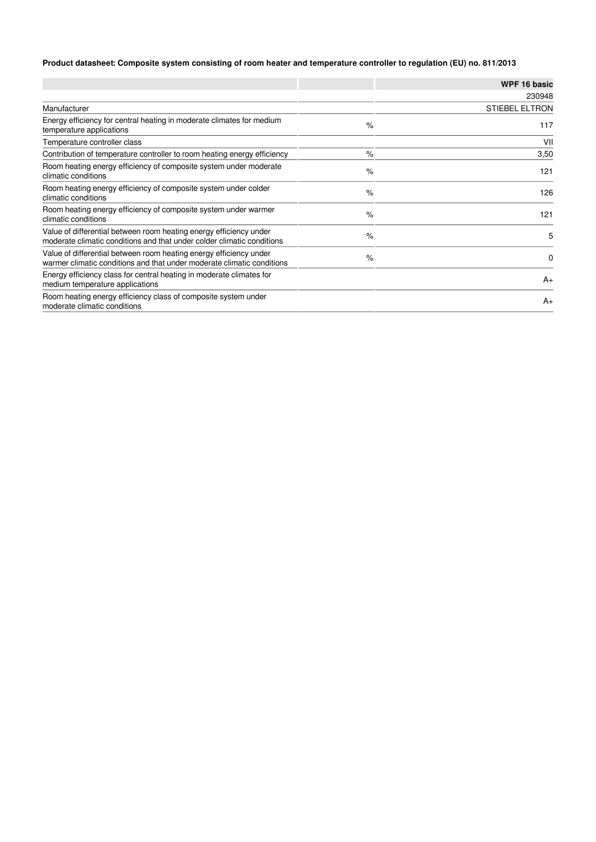## **Product datasheet: Composite system consisting of room heater and temperature controller to regulation (EU) no. 811/2013**

|                                                                                                                                              |      | <b>WPF 16 basic</b>   |
|----------------------------------------------------------------------------------------------------------------------------------------------|------|-----------------------|
|                                                                                                                                              |      | 230948                |
| Manufacturer                                                                                                                                 |      | <b>STIEBEL ELTRON</b> |
| Energy efficiency for central heating in moderate climates for medium<br>temperature applications                                            | $\%$ | 117                   |
| Temperature controller class                                                                                                                 |      | VII                   |
| Contribution of temperature controller to room heating energy efficiency                                                                     | $\%$ | 3,50                  |
| Room heating energy efficiency of composite system under moderate<br>climatic conditions                                                     | $\%$ | 121                   |
| Room heating energy efficiency of composite system under colder<br>climatic conditions                                                       | $\%$ | 126                   |
| Room heating energy efficiency of composite system under warmer<br>climatic conditions                                                       | $\%$ | 121                   |
| Value of differential between room heating energy efficiency under<br>moderate climatic conditions and that under colder climatic conditions | $\%$ | 5                     |
| Value of differential between room heating energy efficiency under<br>warmer climatic conditions and that under moderate climatic conditions | $\%$ | 0                     |
| Energy efficiency class for central heating in moderate climates for<br>medium temperature applications                                      |      | $A_{+}$               |
| Room heating energy efficiency class of composite system under<br>moderate climatic conditions                                               |      | $A_{+}$               |